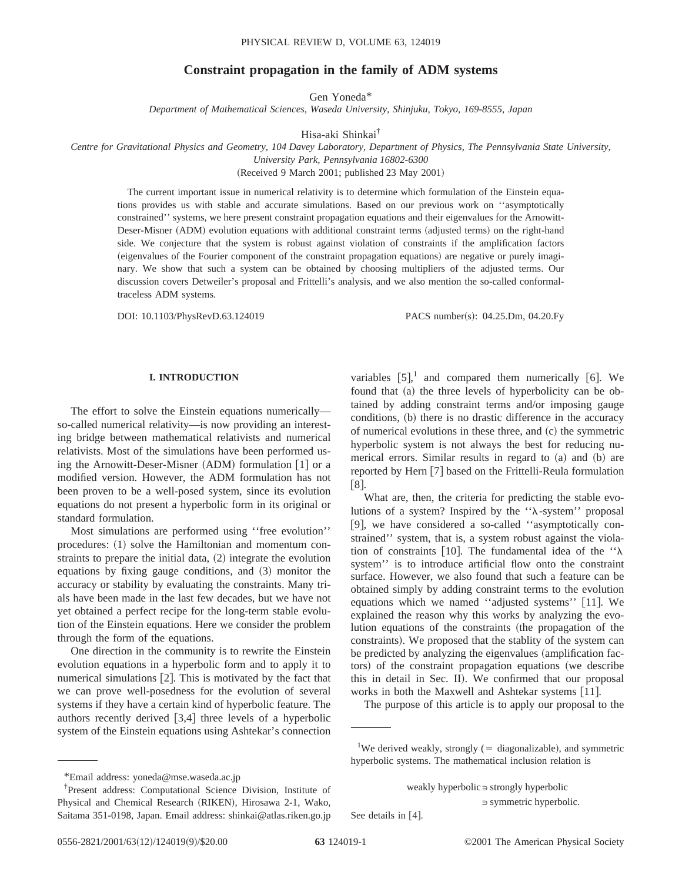# **Constraint propagation in the family of ADM systems**

Gen Yoneda\*

*Department of Mathematical Sciences, Waseda University, Shinjuku, Tokyo, 169-8555, Japan*

Hisa-aki Shinkai†

*Centre for Gravitational Physics and Geometry, 104 Davey Laboratory, Department of Physics, The Pennsylvania State University, University Park, Pennsylvania 16802-6300*

(Received 9 March 2001; published 23 May 2001)

The current important issue in numerical relativity is to determine which formulation of the Einstein equations provides us with stable and accurate simulations. Based on our previous work on ''asymptotically constrained'' systems, we here present constraint propagation equations and their eigenvalues for the Arnowitt-Deser-Misner (ADM) evolution equations with additional constraint terms (adjusted terms) on the right-hand side. We conjecture that the system is robust against violation of constraints if the amplification factors (eigenvalues of the Fourier component of the constraint propagation equations) are negative or purely imaginary. We show that such a system can be obtained by choosing multipliers of the adjusted terms. Our discussion covers Detweiler's proposal and Frittelli's analysis, and we also mention the so-called conformaltraceless ADM systems.

DOI: 10.1103/PhysRevD.63.124019 PACS number(s): 04.25.Dm, 04.20.Fy

## **I. INTRODUCTION**

The effort to solve the Einstein equations numerically so-called numerical relativity—is now providing an interesting bridge between mathematical relativists and numerical relativists. Most of the simulations have been performed using the Arnowitt-Deser-Misner (ADM) formulation  $[1]$  or a modified version. However, the ADM formulation has not been proven to be a well-posed system, since its evolution equations do not present a hyperbolic form in its original or standard formulation.

Most simulations are performed using ''free evolution'' procedures:  $(1)$  solve the Hamiltonian and momentum constraints to prepare the initial data,  $(2)$  integrate the evolution equations by fixing gauge conditions, and  $(3)$  monitor the accuracy or stability by evaluating the constraints. Many trials have been made in the last few decades, but we have not yet obtained a perfect recipe for the long-term stable evolution of the Einstein equations. Here we consider the problem through the form of the equations.

One direction in the community is to rewrite the Einstein evolution equations in a hyperbolic form and to apply it to numerical simulations  $[2]$ . This is motivated by the fact that we can prove well-posedness for the evolution of several systems if they have a certain kind of hyperbolic feature. The authors recently derived  $[3,4]$  three levels of a hyperbolic system of the Einstein equations using Ashtekar's connection

variables  $[5]$ ,<sup>1</sup> and compared them numerically [6]. We found that (a) the three levels of hyperbolicity can be obtained by adding constraint terms and/or imposing gauge conditions, (b) there is no drastic difference in the accuracy of numerical evolutions in these three, and  $(c)$  the symmetric hyperbolic system is not always the best for reducing numerical errors. Similar results in regard to  $(a)$  and  $(b)$  are reported by Hern [7] based on the Frittelli-Reula formulation  $|8|$ .

What are, then, the criteria for predicting the stable evolutions of a system? Inspired by the  $\lambda$ -system'' proposal [9], we have considered a so-called "asymptotically constrained'' system, that is, a system robust against the violation of constraints [10]. The fundamental idea of the  $\cdot \lambda$ system'' is to introduce artificial flow onto the constraint surface. However, we also found that such a feature can be obtained simply by adding constraint terms to the evolution equations which we named "adjusted systems" [11]. We explained the reason why this works by analyzing the evolution equations of the constraints (the propagation of the constraints). We proposed that the stablity of the system can be predicted by analyzing the eigenvalues (amplification factors) of the constraint propagation equations (we describe this in detail in Sec. II). We confirmed that our proposal works in both the Maxwell and Ashtekar systems  $[11]$ .

The purpose of this article is to apply our proposal to the

See details in  $[4]$ .

 $\Rightarrow$  symmetric hyperbolic.

<sup>\*</sup>Email address: yoneda@mse.waseda.ac.jp

<sup>†</sup> Present address: Computational Science Division, Institute of Physical and Chemical Research (RIKEN), Hirosawa 2-1, Wako, Saitama 351-0198, Japan. Email address: shinkai@atlas.riken.go.jp

<sup>&</sup>lt;sup>1</sup>We derived weakly, strongly (= diagonalizable), and symmetric hyperbolic systems. The mathematical inclusion relation is

weakly hyperbolic  $\Rightarrow$  strongly hyperbolic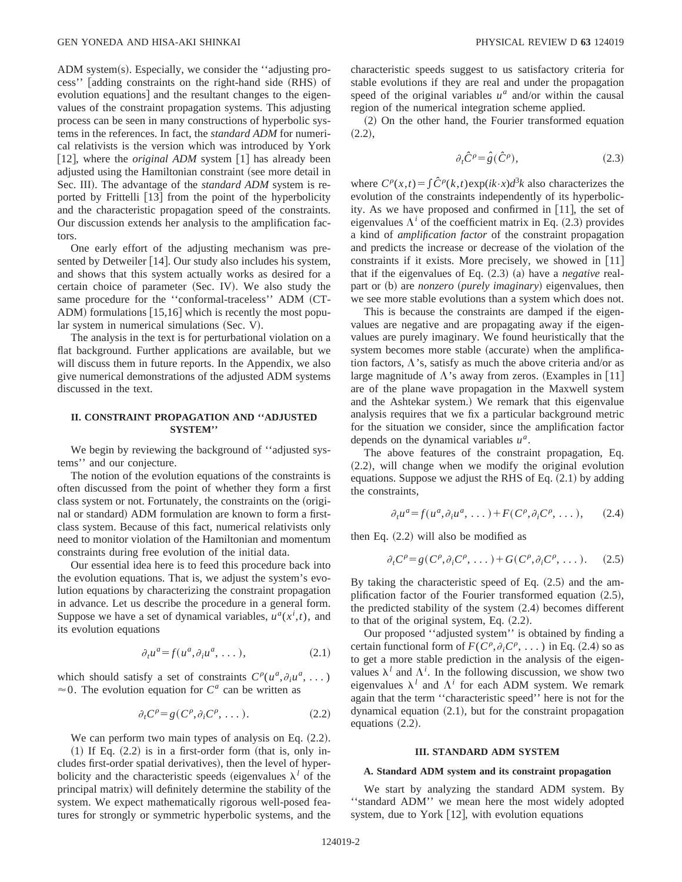ADM system(s). Especially, we consider the "adjusting process'' [adding constraints on the right-hand side (RHS) of evolution equations] and the resultant changes to the eigenvalues of the constraint propagation systems. This adjusting process can be seen in many constructions of hyperbolic systems in the references. In fact, the *standard ADM* for numerical relativists is the version which was introduced by York [12], where the *original ADM* system [1] has already been adjusted using the Hamiltonian constraint (see more detail in Sec. III). The advantage of the *standard ADM* system is reported by Frittelli  $\left[13\right]$  from the point of the hyperbolicity and the characteristic propagation speed of the constraints. Our discussion extends her analysis to the amplification factors.

One early effort of the adjusting mechanism was presented by Detweiler [14]. Our study also includes his system, and shows that this system actually works as desired for a certain choice of parameter (Sec. IV). We also study the same procedure for the "conformal-traceless" ADM (CT-ADM) formulations  $[15,16]$  which is recently the most popu $lar$  system in numerical simulations (Sec. V).

The analysis in the text is for perturbational violation on a flat background. Further applications are available, but we will discuss them in future reports. In the Appendix, we also give numerical demonstrations of the adjusted ADM systems discussed in the text.

## **II. CONSTRAINT PROPAGATION AND ''ADJUSTED SYSTEM''**

We begin by reviewing the background of ''adjusted systems'' and our conjecture.

The notion of the evolution equations of the constraints is often discussed from the point of whether they form a first class system or not. Fortunately, the constraints on the (original or standard) ADM formulation are known to form a firstclass system. Because of this fact, numerical relativists only need to monitor violation of the Hamiltonian and momentum constraints during free evolution of the initial data.

Our essential idea here is to feed this procedure back into the evolution equations. That is, we adjust the system's evolution equations by characterizing the constraint propagation in advance. Let us describe the procedure in a general form. Suppose we have a set of dynamical variables,  $u^a(x^i, t)$ , and its evolution equations

$$
\partial_t u^a = f(u^a, \partial_i u^a, \dots), \tag{2.1}
$$

which should satisfy a set of constraints  $C^{\rho}(u^a, \partial_i u^a, \ldots)$  $\approx$ 0. The evolution equation for *C<sup>a</sup>* can be written as

$$
\partial_t C^\rho = g(C^\rho, \partial_i C^\rho, \dots). \tag{2.2}
$$

We can perform two main types of analysis on Eq.  $(2.2)$ .

 $(1)$  If Eq.  $(2.2)$  is in a first-order form (that is, only includes first-order spatial derivatives), then the level of hyperbolicity and the characteristic speeds (eigenvalues  $\lambda^l$  of the principal matrix) will definitely determine the stability of the system. We expect mathematically rigorous well-posed features for strongly or symmetric hyperbolic systems, and the characteristic speeds suggest to us satisfactory criteria for stable evolutions if they are real and under the propagation speed of the original variables  $u^a$  and/or within the causal region of the numerical integration scheme applied.

(2) On the other hand, the Fourier transformed equation  $(2.2),$ 

$$
\partial_t \hat{C}^\rho = \hat{g}(\hat{C}^\rho),\tag{2.3}
$$

where  $C^{\rho}(x,t) = \int \hat{C}^{\rho}(k,t) \exp(ik \cdot x) d^3k$  also characterizes the evolution of the constraints independently of its hyperbolicity. As we have proposed and confirmed in  $[11]$ , the set of eigenvalues  $\Lambda^i$  of the coefficient matrix in Eq.  $(2.3)$  provides a kind of *amplification factor* of the constraint propagation and predicts the increase or decrease of the violation of the constraints if it exists. More precisely, we showed in  $[11]$ that if the eigenvalues of Eq.  $(2.3)$  (a) have a *negative* realpart or (b) are *nonzero* (*purely imaginary*) eigenvalues, then we see more stable evolutions than a system which does not.

This is because the constraints are damped if the eigenvalues are negative and are propagating away if the eigenvalues are purely imaginary. We found heuristically that the system becomes more stable (accurate) when the amplification factors,  $\Lambda$ 's, satisfy as much the above criteria and/or as large magnitude of  $\Lambda$ 's away from zeros. (Examples in [11] are of the plane wave propagation in the Maxwell system and the Ashtekar system.) We remark that this eigenvalue analysis requires that we fix a particular background metric for the situation we consider, since the amplification factor depends on the dynamical variables *ua*.

The above features of the constraint propagation, Eq.  $(2.2)$ , will change when we modify the original evolution equations. Suppose we adjust the RHS of Eq.  $(2.1)$  by adding the constraints,

$$
\partial_t u^a = f(u^a, \partial_i u^a, \dots) + F(C^{\rho}, \partial_i C^{\rho}, \dots), \quad (2.4)
$$

then Eq.  $(2.2)$  will also be modified as

$$
\partial_t C^{\rho} = g(C^{\rho}, \partial_i C^{\rho}, \dots) + G(C^{\rho}, \partial_i C^{\rho}, \dots). \tag{2.5}
$$

By taking the characteristic speed of Eq.  $(2.5)$  and the amplification factor of the Fourier transformed equation  $(2.5)$ , the predicted stability of the system  $(2.4)$  becomes different to that of the original system, Eq.  $(2.2)$ .

Our proposed ''adjusted system'' is obtained by finding a certain functional form of  $F(C^{\rho}, \partial_i C^{\rho}, \dots)$  in Eq. (2.4) so as to get a more stable prediction in the analysis of the eigenvalues  $\lambda^l$  and  $\Lambda^i$ . In the following discussion, we show two eigenvalues  $\lambda^l$  and  $\Lambda^i$  for each ADM system. We remark again that the term ''characteristic speed'' here is not for the dynamical equation  $(2.1)$ , but for the constraint propagation equations  $(2.2)$ .

### **III. STANDARD ADM SYSTEM**

## **A. Standard ADM system and its constraint propagation**

We start by analyzing the standard ADM system. By ''standard ADM'' we mean here the most widely adopted system, due to York  $[12]$ , with evolution equations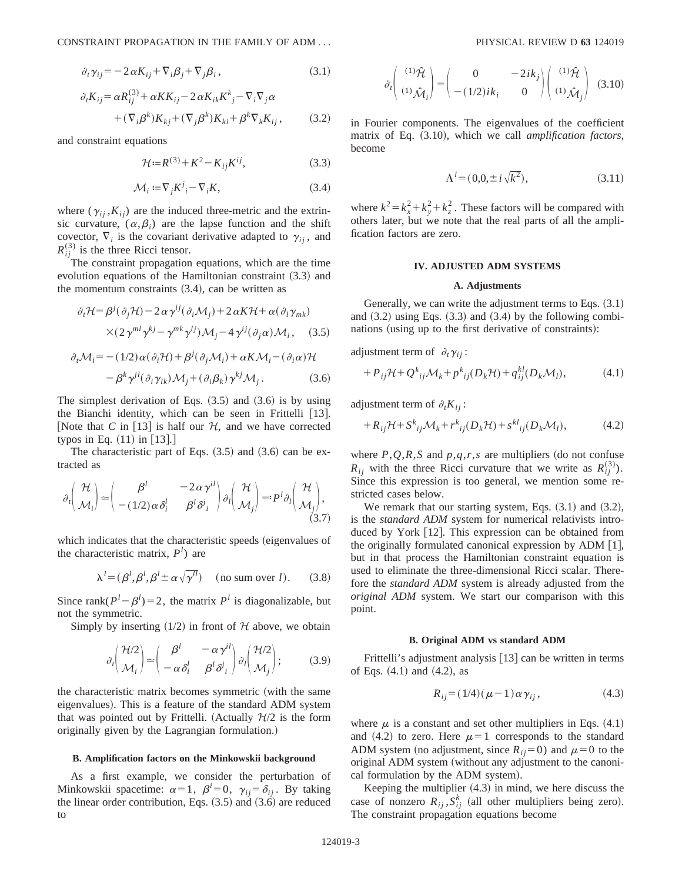CONSTRAINT PROPAGATION IN THE FAMILY OF ADM . . . PHYSICAL REVIEW D **63** 124019

$$
\partial_t \gamma_{ij} = -2 \alpha K_{ij} + \nabla_i \beta_j + \nabla_j \beta_i, \qquad (3.1)
$$

$$
\partial_t K_{ij} = \alpha R_{ij}^{(3)} + \alpha K K_{ij} - 2 \alpha K_{ik} K^k{}_j - \nabla_i \nabla_j \alpha
$$
  
+ 
$$
(\nabla_i \beta^k) K_{kj} + (\nabla_j \beta^k) K_{ki} + \beta^k \nabla_k K_{ij},
$$
 (3.2)

and constraint equations

$$
\mathcal{H} := R^{(3)} + K^2 - K_{ij} K^{ij},\tag{3.3}
$$

$$
\mathcal{M}_i := \nabla_j K^j - \nabla_i K,\tag{3.4}
$$

where  $(\gamma_{ii}, K_{ii})$  are the induced three-metric and the extrinsic curvature,  $(\alpha, \beta_i)$  are the lapse function and the shift covector,  $\nabla_i$  is the covariant derivative adapted to  $\gamma_{ii}$ , and  $R_{ij}^{(3)}$  is the three Ricci tensor.

The constraint propagation equations, which are the time evolution equations of the Hamiltonian constraint  $(3.3)$  and the momentum constraints  $(3.4)$ , can be written as

$$
\partial_t \mathcal{H} = \beta^j (\partial_j \mathcal{H}) - 2 \alpha \gamma^{ij} (\partial_i \mathcal{M}_j) + 2 \alpha K \mathcal{H} + \alpha (\partial_l \gamma_{mk})
$$
  
 
$$
\times (2 \gamma^{ml} \gamma^{kj} - \gamma^{mk} \gamma^{lj}) \mathcal{M}_j - 4 \gamma^{ij} (\partial_j \alpha) \mathcal{M}_i, \quad (3.5)
$$

$$
\partial_t \mathcal{M}_i = -(1/2) \alpha (\partial_i \mathcal{H}) + \beta^j (\partial_j \mathcal{M}_i) + \alpha K \mathcal{M}_i - (\partial_i \alpha) \mathcal{H}
$$

$$
- \beta^k \gamma^{jl} (\partial_i \gamma_{lk}) \mathcal{M}_j + (\partial_i \beta_k) \gamma^{kj} \mathcal{M}_j. \tag{3.6}
$$

The simplest derivation of Eqs.  $(3.5)$  and  $(3.6)$  is by using the Bianchi identity, which can be seen in Frittelli  $[13]$ . [Note that *C* in [13] is half our  $H$ , and we have corrected typos in Eq.  $(11)$  in  $[13].$ 

The characteristic part of Eqs.  $(3.5)$  and  $(3.6)$  can be extracted as

$$
\partial_t \begin{pmatrix} \mathcal{H} \\ \mathcal{M}_i \end{pmatrix} \simeq \begin{pmatrix} \beta^l & -2 \alpha \gamma^{il} \\ -(1/2) \alpha \delta_i^l & \beta^l \delta^i_i \end{pmatrix} \partial_l \begin{pmatrix} \mathcal{H} \\ \mathcal{M}_j \end{pmatrix} =: P^l \partial_l \begin{pmatrix} \mathcal{H} \\ \mathcal{M}_j \end{pmatrix},
$$
\n(3.7)

which indicates that the characteristic speeds (eigenvalues of the characteristic matrix, *P<sup>l</sup>* ) are

$$
\lambda^{l} = (\beta^{l}, \beta^{l}, \beta^{l} \pm \alpha \sqrt{\gamma^{l l}}) \quad \text{(no sum over } l\text{)}.
$$
 (3.8)

Since rank $(P^{l} - \beta^{l}) = 2$ , the matrix *P*<sup>*l*</sup> is diagonalizable, but not the symmetric.

Simply by inserting  $(1/2)$  in front of H above, we obtain

$$
\partial_t \begin{pmatrix} \mathcal{H}/2 \\ \mathcal{M}_i \end{pmatrix} \simeq \begin{pmatrix} \beta^l & -\alpha \gamma^{il} \\ -\alpha \delta_i^l & \beta^l \delta^j_i \end{pmatrix} \partial_l \begin{pmatrix} \mathcal{H}/2 \\ \mathcal{M}_j \end{pmatrix};\tag{3.9}
$$

the characteristic matrix becomes symmetric (with the same eigenvalues). This is a feature of the standard ADM system that was pointed out by Frittelli. (Actually  $H/2$  is the form originally given by the Lagrangian formulation.!

### **B. Amplification factors on the Minkowskii background**

As a first example, we consider the perturbation of Minkowskii spacetime:  $\alpha = 1$ ,  $\beta^i = 0$ ,  $\gamma_{ij} = \delta_{ij}$ . By taking the linear order contribution, Eqs.  $(3.5)$  and  $(3.6)$  are reduced to

$$
\partial_t \begin{pmatrix} (1)\hat{\mathcal{H}} \\ (1)\hat{\mathcal{M}}_i \end{pmatrix} = \begin{pmatrix} 0 & -2ik_j \\ -(1/2)ik_i & 0 \end{pmatrix} \begin{pmatrix} (1)\hat{\mathcal{H}} \\ (1)\hat{\mathcal{M}}_j \end{pmatrix}
$$
 (3.10)

in Fourier components. The eigenvalues of the coefficient matrix of Eq.  $(3.10)$ , which we call *amplification factors*, become

$$
\Lambda^l = (0, 0, \pm i\sqrt{k^2}),\tag{3.11}
$$

where  $k^2 = k_x^2 + k_y^2 + k_z^2$ . These factors will be compared with others later, but we note that the real parts of all the amplification factors are zero.

#### **IV. ADJUSTED ADM SYSTEMS**

### **A. Adjustments**

Generally, we can write the adjustment terms to Eqs.  $(3.1)$ and  $(3.2)$  using Eqs.  $(3.3)$  and  $(3.4)$  by the following combinations (using up to the first derivative of constraints):

adjustment term of  $\partial_t \gamma_{ii}$ :

$$
+P_{ij}\mathcal{H}+Q_{ij}^k\mathcal{M}_k+p_{ij}^k(D_k\mathcal{H})+q_{ij}^{kl}(D_k\mathcal{M}_l),\qquad(4.1)
$$

adjustment term of  $\partial_t K_{ij}$ :

$$
+R_{ij}\mathcal{H}+S_{ij}^k\mathcal{M}_k+r_{ij}^k(D_k\mathcal{H})+s_{ij}^k(D_k\mathcal{M}_l),\qquad(4.2)
$$

where  $P$ , $Q$ , $R$ , $S$  and  $p$ , $q$ , $r$ , $s$  are multipliers (do not confuse  $R_{ij}$  with the three Ricci curvature that we write as  $R_{ij}^{(3)}$ ). Since this expression is too general, we mention some restricted cases below.

We remark that our starting system, Eqs.  $(3.1)$  and  $(3.2)$ , is the *standard ADM* system for numerical relativists introduced by York [12]. This expression can be obtained from the originally formulated canonical expression by  $ADM$  [1], but in that process the Hamiltonian constraint equation is used to eliminate the three-dimensional Ricci scalar. Therefore the *standard ADM* system is already adjusted from the *original ADM* system. We start our comparison with this point.

#### **B. Original ADM vs standard ADM**

Frittelli's adjustment analysis [13] can be written in terms of Eqs.  $(4.1)$  and  $(4.2)$ , as

$$
R_{ij} = (1/4)(\mu - 1)\alpha \gamma_{ij}, \qquad (4.3)
$$

where  $\mu$  is a constant and set other multipliers in Eqs. (4.1) and (4.2) to zero. Here  $\mu=1$  corresponds to the standard ADM system (no adjustment, since  $R_{ij}=0$ ) and  $\mu=0$  to the original ADM system (without any adjustment to the canonical formulation by the ADM system).

Keeping the multiplier  $(4.3)$  in mind, we here discuss the case of nonzero  $R_{ij}$ ,  $S_{ij}^k$  (all other multipliers being zero). The constraint propagation equations become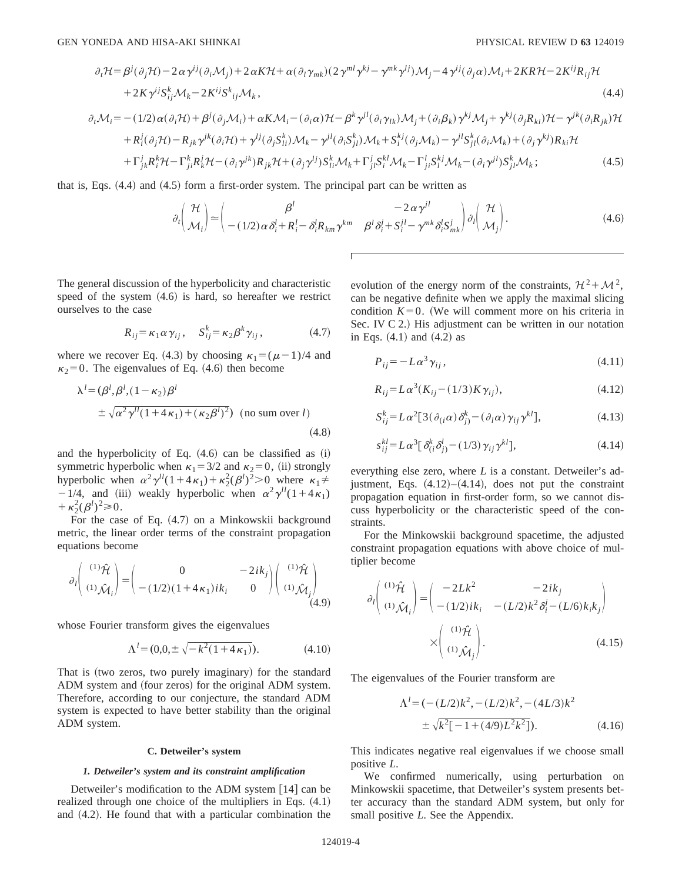$$
\partial_t \mathcal{H} = \beta^j (\partial_j \mathcal{H}) - 2 \alpha \gamma^{ij} (\partial_i \mathcal{M}_j) + 2 \alpha K \mathcal{H} + \alpha (\partial_l \gamma_{mk}) (2 \gamma^{ml} \gamma^{kj} - \gamma^{mk} \gamma^{lj}) \mathcal{M}_j - 4 \gamma^{ij} (\partial_j \alpha) \mathcal{M}_i + 2KR \mathcal{H} - 2K^{ij} R_{ij} \mathcal{H} + 2K \gamma^{ij} S^k_{ij} \mathcal{M}_k - 2K^{ij} S^k_{ij} \mathcal{M}_k,
$$
\n(4.4)

$$
\partial_t \mathcal{M}_i = -(1/2) \alpha (\partial_i \mathcal{H}) + \beta^j (\partial_j \mathcal{M}_i) + \alpha K \mathcal{M}_i - (\partial_i \alpha) \mathcal{H} - \beta^k \gamma^{jl} (\partial_i \gamma_{lk}) \mathcal{M}_j + (\partial_i \beta_k) \gamma^{kj} \mathcal{M}_j + \gamma^{kj} (\partial_j R_{ki}) \mathcal{H} - \gamma^{jk} (\partial_i R_{jk}) \mathcal{H}
$$
  
+  $R_i^j (\partial_j \mathcal{H}) - R_{jk} \gamma^{jk} (\partial_i \mathcal{H}) + \gamma^{lj} (\partial_j S_{li}^k) \mathcal{M}_k - \gamma^{jl} (\partial_i S_{jl}^k) \mathcal{M}_k + S_i^{kj} (\partial_j \mathcal{M}_k) - \gamma^{jl} S_{jl}^k (\partial_i \mathcal{M}_k) + (\partial_j \gamma^{kj}) R_{ki} \mathcal{H}$   
+  $\Gamma_j^j P_{kj}^k \mathcal{H} - \Gamma_k^k P_{jl}^j \mathcal{H} - (\partial_i \gamma^{jk}) P_{kj} \mathcal{H} + (\partial_i \gamma^{lj}) S_k^k M_{kj} + \Gamma_j^j S_k^k M_{kj} - \Gamma_k^l S_k^k M_{kj} - (\partial_i \gamma^{jl}) S_k^k M_{kj}$  (4.5)

$$
+\Gamma_{jk}^{j}R_{i}^{k}\mathcal{H}-\Gamma_{ji}^{k}R_{k}^{j}\mathcal{H}-(\partial_{i}\gamma^{jk})R_{jk}\mathcal{H}+(\partial_{j}\gamma^{lj})S_{li}^{k}\mathcal{M}_{k}+\Gamma_{ji}^{j}S_{i}^{kl}\mathcal{M}_{k}-\Gamma_{ji}^{l}S_{l}^{kj}\mathcal{M}_{k}-(\partial_{i}\gamma^{jl})S_{jl}^{k}\mathcal{M}_{k};
$$
\n(4.5)

that is, Eqs.  $(4.4)$  and  $(4.5)$  form a first-order system. The principal part can be written as

$$
\partial_{t}\left(\frac{\mathcal{H}}{\mathcal{M}_{i}}\right) \simeq \left(\frac{\beta^{l}}{-\left(1/2\right)\alpha\delta_{i}^{l} + R_{i}^{l} - \delta_{i}^{l}R_{km}\gamma^{km} \beta^{l}\delta_{i}^{j} + S_{i}^{jl} - \gamma^{mk}\delta_{i}^{l}S_{mk}^{j}}\right)\partial_{l}\left(\frac{\mathcal{H}}{\mathcal{M}_{j}}\right).
$$
\n(4.6)

The general discussion of the hyperbolicity and characteristic speed of the system  $(4.6)$  is hard, so hereafter we restrict ourselves to the case

$$
R_{ij} = \kappa_1 \alpha \gamma_{ij}, \quad S_{ij}^k = \kappa_2 \beta^k \gamma_{ij}, \tag{4.7}
$$

where we recover Eq. (4.3) by choosing  $\kappa_1 = (\mu - 1)/4$  and  $\kappa_2=0$ . The eigenvalues of Eq. (4.6) then become

$$
\lambda^{l} = (\beta^{l}, \beta^{l}, (1 - \kappa_{2})\beta^{l}
$$
  

$$
\pm \sqrt{\alpha^{2} \gamma^{l l} (1 + 4\kappa_{1}) + (\kappa_{2} \beta^{l})^{2}})
$$
 (no sum over l) (4.8)

and the hyperbolicity of Eq.  $(4.6)$  can be classified as  $(i)$ symmetric hyperbolic when  $\kappa_1 = 3/2$  and  $\kappa_2 = 0$ , (ii) strongly hyperbolic when  $\alpha^2 \gamma^{l} (1 + 4\kappa_1) + \kappa_2^2 (\beta^l)^2 > 0$  where  $\kappa_1 \neq$  $-1/4$ , and (iii) weakly hyperbolic when  $\alpha^2 \gamma^{ll}(1+4\kappa_1)$  $+\kappa_2^2(\beta^l)^2\!\geq 0.$ 

For the case of Eq.  $(4.7)$  on a Minkowskii background metric, the linear order terms of the constraint propagation equations become

$$
\partial_l \begin{pmatrix} (1)\hat{\mathcal{H}} \\ (1)\hat{\mathcal{M}}_i \end{pmatrix} = \begin{pmatrix} 0 & -2ik_j \\ -(1/2)(1+4\kappa_1)ik_i & 0 \end{pmatrix} \begin{pmatrix} (1)\hat{\mathcal{H}} \\ (1)\hat{\mathcal{M}}_j \end{pmatrix}
$$
(4.9)

whose Fourier transform gives the eigenvalues

$$
\Lambda^{l} = (0, 0, \pm \sqrt{-k^2 (1 + 4 \kappa_1)}).
$$
 (4.10)

That is (two zeros, two purely imaginary) for the standard ADM system and (four zeros) for the original ADM system. Therefore, according to our conjecture, the standard ADM system is expected to have better stability than the original ADM system.

### **C. Detweiler's system**

## *1. Detweiler's system and its constraint amplification*

Detweiler's modification to the ADM system  $[14]$  can be realized through one choice of the multipliers in Eqs.  $(4.1)$ and  $(4.2)$ . He found that with a particular combination the evolution of the energy norm of the constraints,  $\mathcal{H}^2 + \mathcal{M}^2$ , can be negative definite when we apply the maximal slicing condition  $K=0$ . (We will comment more on his criteria in Sec. IV  $C$  2.) His adjustment can be written in our notation in Eqs.  $(4.1)$  and  $(4.2)$  as

$$
P_{ij} = -L\alpha^3 \gamma_{ij},\tag{4.11}
$$

$$
R_{ij} = L\alpha^3 (K_{ij} - (1/3)K\gamma_{ij}),
$$
\n(4.12)

$$
S_{ij}^k = L\alpha^2 [3(\partial_{(i}\alpha)\delta_{j)}^k - (\partial_l\alpha)\gamma_{ij}\gamma^{kl}], \qquad (4.13)
$$

$$
s_{ij}^{kl} = L\alpha^3 \left[ \delta_{(i}^k \delta_{j)}^l - (1/3) \gamma_{ij} \gamma^{kl} \right],
$$
 (4.14)

everything else zero, where *L* is a constant. Detweiler's adjustment, Eqs.  $(4.12)$ – $(4.14)$ , does not put the constraint propagation equation in first-order form, so we cannot discuss hyperbolicity or the characteristic speed of the constraints.

For the Minkowskii background spacetime, the adjusted constraint propagation equations with above choice of multiplier become

$$
\partial_l \begin{pmatrix} (1)\hat{\mathcal{H}} \\ (1)\hat{\mathcal{M}}_i \end{pmatrix} = \begin{pmatrix} -2Lk^2 & -2ik_j \\ -(1/2)ik_i & -(L/2)k^2\delta_i^j - (L/6)k_ik_j \end{pmatrix}
$$

$$
\times \begin{pmatrix} (1)\hat{\mathcal{H}} \\ (1)\hat{\mathcal{M}}_j \end{pmatrix} .
$$
(4.15)

The eigenvalues of the Fourier transform are

$$
\Lambda^{l} = (-(L/2)k^{2}, -(L/2)k^{2}, -(4L/3)k^{2}
$$
  

$$
\pm \sqrt{k^{2}[-1+(4/9)L^{2}k^{2}]}).
$$
 (4.16)

This indicates negative real eigenvalues if we choose small positive *L*.

We confirmed numerically, using perturbation on Minkowskii spacetime, that Detweiler's system presents better accuracy than the standard ADM system, but only for small positive *L*. See the Appendix.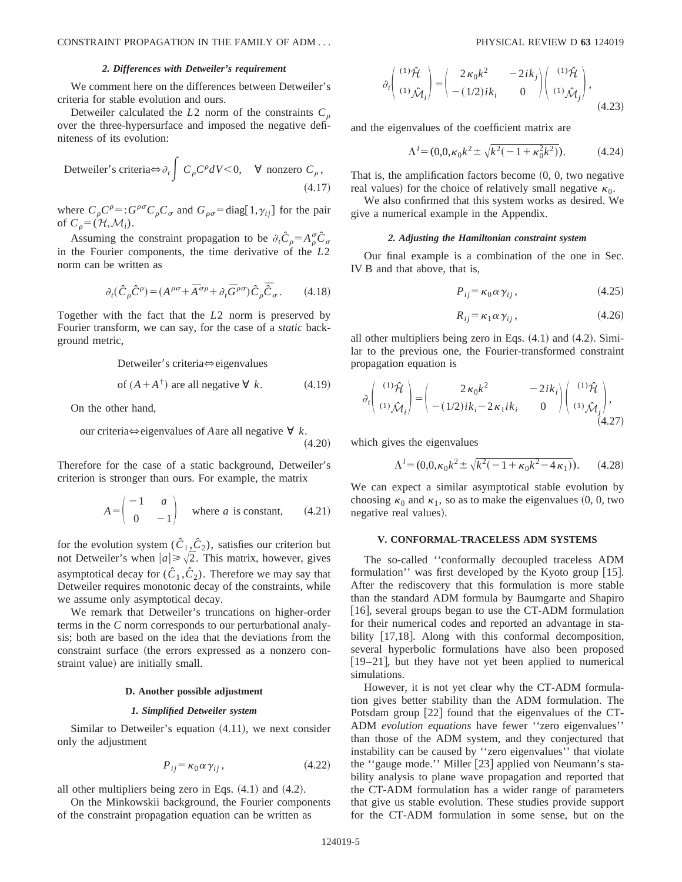#### *2. Differences with Detweiler's requirement*

We comment here on the differences between Detweiler's criteria for stable evolution and ours.

Detweiler calculated the  $L2$  norm of the constraints  $C<sub>o</sub>$ over the three-hypersurface and imposed the negative definiteness of its evolution:

Detweiler's criteria⇔ 
$$
\partial_t \int C_{\rho} C^{\rho} dV < 0
$$
, ∀ nonzero  $C_{\rho}$ , (4.17)

where  $C_{\rho}C^{\rho} =: G^{\rho\sigma}C_{\rho}C_{\sigma}$  and  $G_{\rho\sigma} = \text{diag}[1, \gamma_{ij}]$  for the pair of  $C_{\rho} = (\mathcal{H}, \mathcal{M}_i)$ .

Assuming the constraint propagation to be  $\partial_t \hat{C}_{\rho} = A_{\rho}^{\sigma} \hat{C}_{\sigma}$ in the Fourier components, the time derivative of the *L*2 norm can be written as

$$
\partial_t(\hat{C}_{\rho}\hat{C}^{\rho}) = (A^{\rho\sigma} + \bar{A}^{\sigma\rho} + \partial_t \bar{G}^{\rho\sigma})\hat{C}_{\rho}\bar{\hat{C}}_{\sigma}.
$$
 (4.18)

Together with the fact that the *L*2 norm is preserved by Fourier transform, we can say, for the case of a *static* background metric,

Detweiler's criteria⇔eigenvalues

of 
$$
(A + A^{\dagger})
$$
 are all negative  $\forall k$ . (4.19)

On the other hand,

our criteria
$$
\Leftrightarrow
$$
 eigenvalues of *A* are all negative  $\forall k$ .  
(4.20)

Therefore for the case of a static background, Detweiler's criterion is stronger than ours. For example, the matrix

$$
A = \begin{pmatrix} -1 & a \\ 0 & -1 \end{pmatrix}
$$
 where *a* is constant, (4.21)

for the evolution system  $(\hat{C}_1, \hat{C}_2)$ , satisfies our criterion but not Detweiler's when  $|a| \ge \sqrt{2}$ . This matrix, however, gives asymptotical decay for  $(\hat{C}_1, \hat{C}_2)$ . Therefore we may say that Detweiler requires monotonic decay of the constraints, while we assume only asymptotical decay.

We remark that Detweiler's truncations on higher-order terms in the *C* norm corresponds to our perturbational analysis; both are based on the idea that the deviations from the constraint surface (the errors expressed as a nonzero constraint value) are initially small.

## **D. Another possible adjustment**

#### *1. Simplified Detweiler system*

Similar to Detweiler's equation  $(4.11)$ , we next consider only the adjustment

$$
P_{ij} = \kappa_0 \alpha \gamma_{ij}, \qquad (4.22)
$$

all other multipliers being zero in Eqs.  $(4.1)$  and  $(4.2)$ .

On the Minkowskii background, the Fourier components of the constraint propagation equation can be written as

$$
\partial_t \begin{pmatrix} (1)\hat{\mathcal{H}} \\ (1)\hat{\mathcal{M}}_i \end{pmatrix} = \begin{pmatrix} 2\kappa_0 k^2 & -2ik_j \\ -(1/2)ik_i & 0 \end{pmatrix} \begin{pmatrix} (1)\hat{\mathcal{H}} \\ (1)\hat{\mathcal{M}}_j \end{pmatrix},
$$
\n(4.23)

and the eigenvalues of the coefficient matrix are

$$
\Lambda^{l} = (0, 0, \kappa_0 k^2 \pm \sqrt{k^2(-1 + \kappa_0^2 k^2)}). \tag{4.24}
$$

That is, the amplification factors become  $(0, 0,$  two negative real values) for the choice of relatively small negative  $\kappa_0$ .

We also confirmed that this system works as desired. We give a numerical example in the Appendix.

#### *2. Adjusting the Hamiltonian constraint system*

Our final example is a combination of the one in Sec. IV B and that above, that is,

$$
P_{ij} = \kappa_0 \alpha \gamma_{ij}, \qquad (4.25)
$$

$$
R_{ij} = \kappa_1 \alpha \gamma_{ij}, \qquad (4.26)
$$

all other multipliers being zero in Eqs.  $(4.1)$  and  $(4.2)$ . Similar to the previous one, the Fourier-transformed constraint propagation equation is

$$
\partial_t \begin{pmatrix} (1)\hat{\mathcal{H}} \\ (1)\hat{\mathcal{M}}_i \end{pmatrix} = \begin{pmatrix} 2\kappa_0 k^2 & -2ik_i \\ -(1/2)ik_i - 2\kappa_1 ik_i & 0 \end{pmatrix} \begin{pmatrix} (1)\hat{\mathcal{H}} \\ (1)\hat{\mathcal{M}}_i \end{pmatrix},
$$
\n(4.27)

which gives the eigenvalues

$$
\Lambda^{l} = (0, 0, \kappa_0 k^2 \pm \sqrt{k^2(-1 + \kappa_0 k^2 - 4\kappa_1)}).
$$
 (4.28)

We can expect a similar asymptotical stable evolution by choosing  $\kappa_0$  and  $\kappa_1$ , so as to make the eigenvalues  $(0, 0,$  two negative real values).

### **V. CONFORMAL-TRACELESS ADM SYSTEMS**

The so-called ''conformally decoupled traceless ADM formulation'' was first developed by the Kyoto group  $|15|$ . After the rediscovery that this formulation is more stable than the standard ADM formula by Baumgarte and Shapiro [16], several groups began to use the CT-ADM formulation for their numerical codes and reported an advantage in stability  $[17,18]$ . Along with this conformal decomposition, several hyperbolic formulations have also been proposed  $[19–21]$ , but they have not yet been applied to numerical simulations.

However, it is not yet clear why the CT-ADM formulation gives better stability than the ADM formulation. The Potsdam group  $[22]$  found that the eigenvalues of the CT-ADM *evolution equations* have fewer ''zero eigenvalues'' than those of the ADM system, and they conjectured that instability can be caused by ''zero eigenvalues'' that violate the "gauge mode." Miller [23] applied von Neumann's stability analysis to plane wave propagation and reported that the CT-ADM formulation has a wider range of parameters that give us stable evolution. These studies provide support for the CT-ADM formulation in some sense, but on the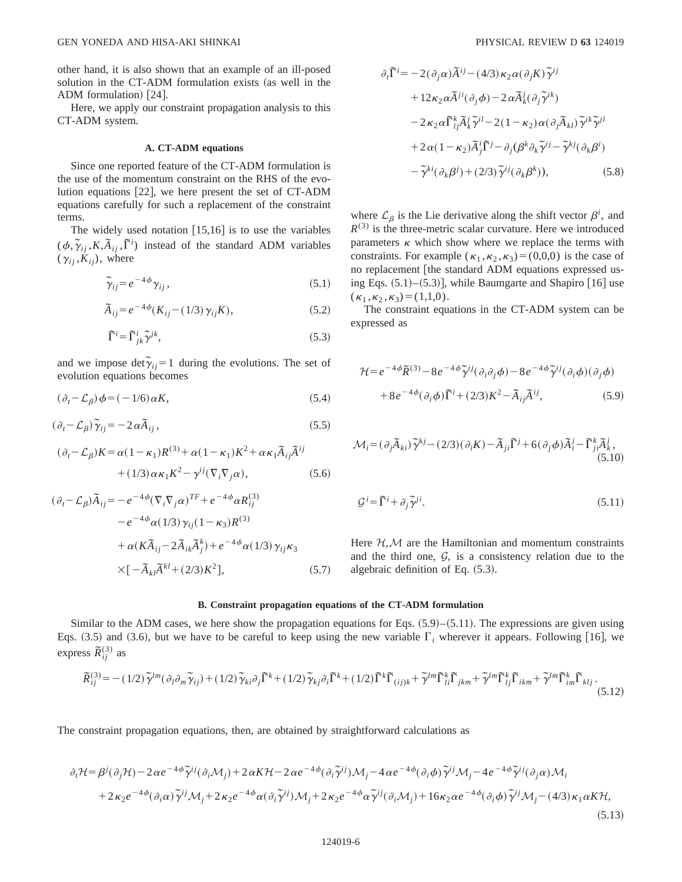other hand, it is also shown that an example of an ill-posed solution in the CT-ADM formulation exists (as well in the ADM formulation)  $[24]$ .

Here, we apply our constraint propagation analysis to this CT-ADM system.

## **A. CT-ADM equations**

Since one reported feature of the CT-ADM formulation is the use of the momentum constraint on the RHS of the evolution equations  $[22]$ , we here present the set of CT-ADM equations carefully for such a replacement of the constraint terms.

The widely used notation  $[15,16]$  is to use the variables  $(\phi, \tilde{\gamma}_{ij}, K, \tilde{A}_{ij}, \tilde{\Gamma}^i)$  instead of the standard ADM variables  $(\gamma_{ij}, K_{ij})$ , where

$$
\widetilde{\gamma}_{ij} = e^{-4\phi} \gamma_{ij},\tag{5.1}
$$

$$
\tilde{A}_{ij} = e^{-4\phi} (K_{ij} - (1/3) \gamma_{ij} K), \qquad (5.2)
$$

$$
\tilde{\Gamma}^i = \tilde{\Gamma}^i_{jk} \tilde{\gamma}^{jk},\tag{5.3}
$$

and we impose  $\det \tilde{\gamma}_{ij} = 1$  during the evolutions. The set of evolution equations becomes

$$
(\partial_t - \mathcal{L}_\beta)\phi = (-1/6)\,\alpha K,\tag{5.4}
$$

$$
(\partial_t - \mathcal{L}_\beta) \tilde{\gamma}_{ij} = -2 \alpha \tilde{A}_{ij},\qquad(5.5)
$$

$$
(\partial_t - \mathcal{L}_\beta) K = \alpha (1 - \kappa_1) R^{(3)} + \alpha (1 - \kappa_1) K^2 + \alpha \kappa_1 \tilde{A}_{ij} \tilde{A}^{ij}
$$

$$
+ (1/3) \alpha \kappa_1 K^2 - \gamma^{ij} (\nabla_i \nabla_j \alpha), \qquad (5.6)
$$

$$
(\partial_t - \mathcal{L}_{\beta})\tilde{A}_{ij} = -e^{-4\phi} (\nabla_i \nabla_j \alpha)^{TF} + e^{-4\phi} \alpha R_{ij}^{(3)}
$$

$$
-e^{-4\phi} \alpha (1/3) \gamma_{ij} (1 - \kappa_3) R^{(3)}
$$

$$
+ \alpha (K \tilde{A}_{ij} - 2\tilde{A}_{ik} \tilde{A}_{j}^{k}) + e^{-4\phi} \alpha (1/3) \gamma_{ij} \kappa_3
$$

$$
\times [-\tilde{A}_{kl} \tilde{A}^{kl} + (2/3) K^2], \qquad (5.7)
$$

$$
\partial_t \tilde{\Gamma}^i = -2(\partial_j \alpha) \tilde{A}^{ij} - (4/3) \kappa_2 \alpha (\partial_j K) \tilde{\gamma}^{ij}
$$
  
+  $12 \kappa_2 \alpha \tilde{A}^{ji} (\partial_j \phi) - 2 \alpha \tilde{A}^j_k (\partial_j \tilde{\gamma}^{ik})$   
 $- 2 \kappa_2 \alpha \tilde{\Gamma}^k_{ij} \tilde{A}^j_k \tilde{\gamma}^{il} - 2(1 - \kappa_2) \alpha (\partial_j \tilde{A}_{kl}) \tilde{\gamma}^{ik} \tilde{\gamma}^{jl}$   
+  $2 \alpha (1 - \kappa_2) \tilde{A}^i_j \tilde{\Gamma}^j - \partial_j (\beta^k \partial_k \tilde{\gamma}^{ij} - \tilde{\gamma}^{ki} (\partial_k \beta^i)$   
 $- \tilde{\gamma}^{ki} (\partial_k \beta^j) + (2/3) \tilde{\gamma}^{ij} (\partial_k \beta^k)),$  (5.8)

where  $\mathcal{L}_{\beta}$  is the Lie derivative along the shift vector  $\beta^i$ , and  $R^{(3)}$  is the three-metric scalar curvature. Here we introduced parameters  $\kappa$  which show where we replace the terms with constraints. For example  $(\kappa_1, \kappa_2, \kappa_3)=(0,0,0)$  is the case of no replacement [the standard ADM equations expressed using Eqs.  $(5.1)$ – $(5.3)$ ], while Baumgarte and Shapiro [16] use  $(\kappa_1, \kappa_2, \kappa_3) = (1,1,0).$ 

The constraint equations in the CT-ADM system can be expressed as

$$
\mathcal{H} = e^{-4\phi} \tilde{R}^{(3)} - 8e^{-4\phi} \tilde{\gamma}^{ij} (\partial_i \partial_j \phi) - 8e^{-4\phi} \tilde{\gamma}^{ij} (\partial_i \phi) (\partial_j \phi)
$$

$$
+ 8e^{-4\phi} (\partial_i \phi) \tilde{\Gamma}^i + (2/3)K^2 - \tilde{A}_{ij} \tilde{A}^{ij}, \qquad (5.9)
$$

$$
\mathcal{M}_i = (\partial_j \widetilde{A}_{ki}) \widetilde{\gamma}^{kj} - (2/3)(\partial_i K) - \widetilde{A}_{ji} \widetilde{\Gamma}^j + 6(\partial_j \phi) \widetilde{A}_i^j - \widetilde{\Gamma}_{ji}^k \widetilde{A}_k^j, \tag{5.10}
$$

$$
\mathcal{G}^i = \tilde{\Gamma}^i + \partial_j \tilde{\gamma}^{ji}.\tag{5.11}
$$

Here  $H, M$  are the Hamiltonian and momentum constraints and the third one,  $G$ , is a consistency relation due to the algebraic definition of Eq.  $(5.3)$ .

## **B. Constraint propagation equations of the CT-ADM formulation**

Similar to the ADM cases, we here show the propagation equations for Eqs.  $(5.9)$ – $(5.11)$ . The expressions are given using Eqs.  $(3.5)$  and  $(3.6)$ , but we have to be careful to keep using the new variable  $\Gamma_i$  wherever it appears. Following [16], we express  $\widetilde{R}_{ij}^{(3)}$  as

$$
\widetilde{R}_{ij}^{(3)} = -(1/2)\widetilde{\gamma}^{lm}(\partial_l \partial_m \widetilde{\gamma}_{ij}) + (1/2)\widetilde{\gamma}_{ki}\partial_j \widetilde{\Gamma}^k + (1/2)\widetilde{\gamma}_{kj}\partial_i \widetilde{\Gamma}^k + (1/2)\widetilde{\Gamma}^k \widetilde{\Gamma}_{(ij)k} + \widetilde{\gamma}^{lm} \widetilde{\Gamma}_{li}^k \widetilde{\Gamma}_{jkm} + \widetilde{\gamma}^{lm} \widetilde{\Gamma}_{lj}^k \widetilde{\Gamma}_{ikm} + \widetilde{\gamma}^{lm} \widetilde{\Gamma}_{km}^k \widetilde{\Gamma}_{klj}.
$$
\n(5.12)

The constraint propagation equations, then, are obtained by straightforward calculations as

$$
\partial_t \mathcal{H} = \beta^j (\partial_j \mathcal{H}) - 2 \alpha e^{-4\phi} \widetilde{\gamma}^{ij} (\partial_i \mathcal{M}_j) + 2 \alpha K \mathcal{H} - 2 \alpha e^{-4\phi} (\partial_i \widetilde{\gamma}^{ij}) \mathcal{M}_j - 4 \alpha e^{-4\phi} (\partial_i \phi) \widetilde{\gamma}^{ij} \mathcal{M}_j - 4 e^{-4\phi} \widetilde{\gamma}^{ij} (\partial_j \alpha) \mathcal{M}_i + 2 \kappa_2 e^{-4\phi} (\partial_i \alpha) \widetilde{\gamma}^{ij} \mathcal{M}_j + 2 \kappa_2 e^{-4\phi} \alpha (\partial_i \widetilde{\gamma}^{ij}) \mathcal{M}_j + 2 \kappa_2 e^{-4\phi} \alpha \widetilde{\gamma}^{ij} (\partial_i \mathcal{M}_j) + 16 \kappa_2 \alpha e^{-4\phi} (\partial_i \phi) \widetilde{\gamma}^{ij} \mathcal{M}_j - (4/3) \kappa_1 \alpha K \mathcal{H},
$$
\n(5.13)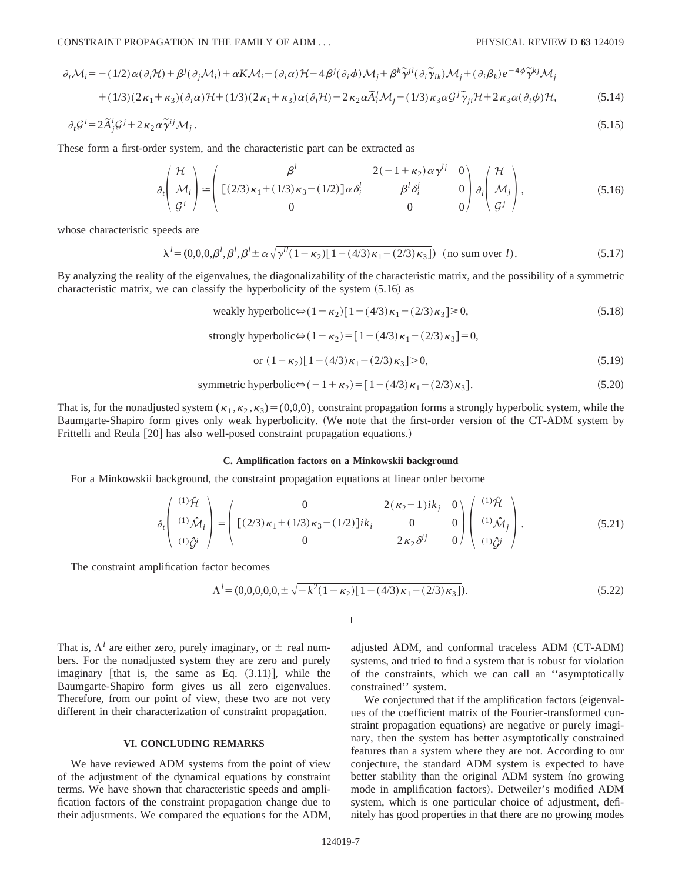$$
\partial_t \mathcal{M}_i = -(1/2) \alpha (\partial_i \mathcal{H}) + \beta^j (\partial_j \mathcal{M}_i) + \alpha K \mathcal{M}_i - (\partial_i \alpha) \mathcal{H} - 4 \beta^j (\partial_i \phi) \mathcal{M}_j + \beta^k \tilde{\gamma}^{jl} (\partial_i \tilde{\gamma}_{lk}) \mathcal{M}_j + (\partial_i \beta_k) e^{-4\phi} \tilde{\gamma}^{kj} \mathcal{M}_j
$$
  
+ (1/3)(2\kappa\_1 + \kappa\_3)(\partial\_i \alpha) \mathcal{H} + (1/3)(2\kappa\_1 + \kappa\_3) \alpha (\partial\_i \mathcal{H}) - 2\kappa\_2 \alpha \tilde{A}\_i^j \mathcal{M}\_j - (1/3)\kappa\_3 \alpha \mathcal{G}^j \tilde{\gamma}\_{ji} \mathcal{H} + 2\kappa\_3 \alpha (\partial\_i \phi) \mathcal{H}, \qquad (5.14)

$$
\partial_t \mathcal{G}^i = 2\tilde{A}_j^i \mathcal{G}^j + 2\kappa_2 \alpha \tilde{\gamma}^{ij} \mathcal{M}_j \,. \tag{5.15}
$$

These form a first-order system, and the characteristic part can be extracted as

$$
\partial_t \begin{pmatrix} \mathcal{H} \\ \mathcal{M}_i \\ \mathcal{G}^i \end{pmatrix} \cong \begin{pmatrix} \beta^l & 2(-1+\kappa_2)\alpha\gamma^{lj} & 0 \\ \left[ (2/3)\kappa_1 + (1/3)\kappa_3 - (1/2) \right] \alpha \delta_i^l & \beta^l \delta_i^i & 0 \\ 0 & 0 & 0 \end{pmatrix} \partial_l \begin{pmatrix} \mathcal{H} \\ \mathcal{M}_j \\ \mathcal{G}^j \end{pmatrix},
$$
(5.16)

whose characteristic speeds are

$$
\lambda^{l} = (0,0,0,\beta^{l},\beta^{l},\beta^{l} \pm \alpha \sqrt{\gamma^{l}(1-\kappa_{2})[1-(4/3)\kappa_{1}-(2/3)\kappa_{3}]}) \text{ (no sum over } l). \tag{5.17}
$$

By analyzing the reality of the eigenvalues, the diagonalizability of the characteristic matrix, and the possibility of a symmetric characteristic matrix, we can classify the hyperbolicity of the system  $(5.16)$  as

weakly hyperbolic 
$$
\Leftrightarrow
$$
  $(1 - \kappa_2)[1 - (4/3)\kappa_1 - (2/3)\kappa_3] \ge 0,$  (5.18)

strongly hyperbolic⇔ $(1-\kappa_2)$ =[1- $(4/3)\kappa_1$ - $(2/3)\kappa_3$ ]=0,

or 
$$
(1 - \kappa_2)[1 - (4/3)\kappa_1 - (2/3)\kappa_3] > 0,
$$
 (5.19)

symmetric hyperbolic 
$$
\Leftrightarrow
$$
  $(-1 + \kappa_2) = [1 - (4/3) \kappa_1 - (2/3) \kappa_3].$  (5.20)

That is, for the nonadjusted system  $(\kappa_1, \kappa_2, \kappa_3)=(0,0,0)$ , constraint propagation forms a strongly hyperbolic system, while the Baumgarte-Shapiro form gives only weak hyperbolicity. (We note that the first-order version of the CT-ADM system by Frittelli and Reula [20] has also well-posed constraint propagation equations.)

### **C. Amplification factors on a Minkowskii background**

For a Minkowskii background, the constraint propagation equations at linear order become

$$
\partial_t \begin{pmatrix} (1)\hat{\mathcal{H}} \\ (1)\hat{\mathcal{M}}_i \\ (1)\hat{\mathcal{G}}^i \end{pmatrix} = \begin{pmatrix} 0 & 2(\kappa_2 - 1)ik_j & 0 \\ [(2/3)\kappa_1 + (1/3)\kappa_3 - (1/2)]ik_i & 0 & 0 \\ 0 & 2\kappa_2 \delta^{ij} & 0 \end{pmatrix} \begin{pmatrix} (1)\hat{\mathcal{H}} \\ (1)\hat{\mathcal{M}}_j \\ (1)\hat{\mathcal{G}}^i \end{pmatrix} .
$$
 (5.21)

The constraint amplification factor becomes

$$
\Lambda^{l} = (0,0,0,0,0,\pm\sqrt{-k^{2}(1-\kappa_{2})[1-(4/3)\kappa_{1}-(2/3)\kappa_{3}]}).
$$
\n(5.22)

That is,  $\Lambda^l$  are either zero, purely imaginary, or  $\pm$  real numbers. For the nonadjusted system they are zero and purely imaginary [that is, the same as Eq.  $(3.11)$ ], while the Baumgarte-Shapiro form gives us all zero eigenvalues. Therefore, from our point of view, these two are not very different in their characterization of constraint propagation.

### **VI. CONCLUDING REMARKS**

We have reviewed ADM systems from the point of view of the adjustment of the dynamical equations by constraint terms. We have shown that characteristic speeds and amplification factors of the constraint propagation change due to their adjustments. We compared the equations for the ADM, adjusted ADM, and conformal traceless ADM (CT-ADM) systems, and tried to find a system that is robust for violation of the constraints, which we can call an ''asymptotically constrained'' system.

We conjectured that if the amplification factors (eigenvalues of the coefficient matrix of the Fourier-transformed constraint propagation equations) are negative or purely imaginary, then the system has better asymptotically constrained features than a system where they are not. According to our conjecture, the standard ADM system is expected to have better stability than the original ADM system (no growing mode in amplification factors). Detweiler's modified ADM system, which is one particular choice of adjustment, definitely has good properties in that there are no growing modes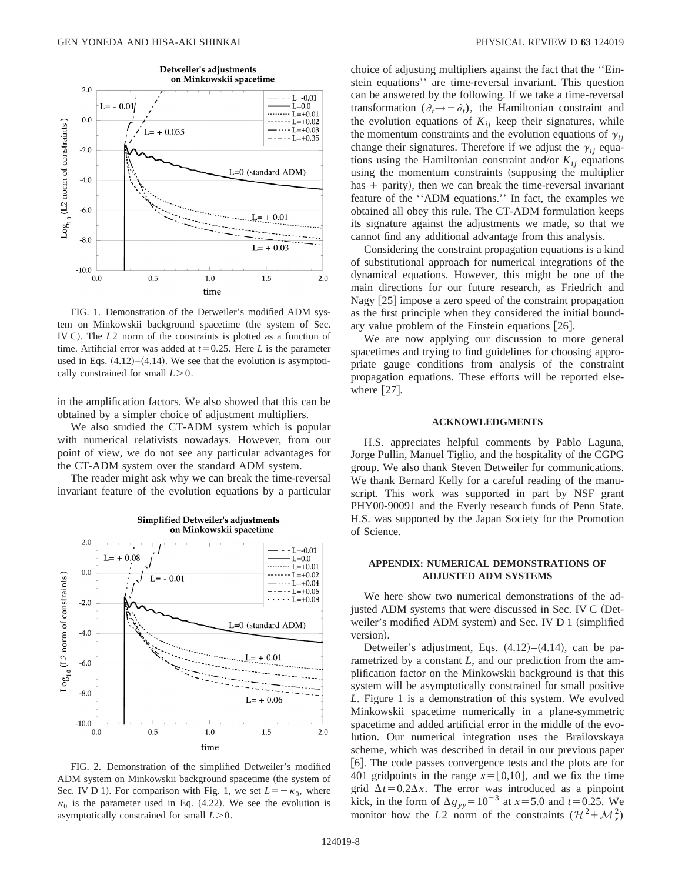

FIG. 1. Demonstration of the Detweiler's modified ADM system on Minkowskii background spacetime (the system of Sec. IV C). The *L*2 norm of the constraints is plotted as a function of time. Artificial error was added at  $t=0.25$ . Here *L* is the parameter used in Eqs.  $(4.12)$ – $(4.14)$ . We see that the evolution is asymptotically constrained for small  $L > 0$ .

in the amplification factors. We also showed that this can be obtained by a simpler choice of adjustment multipliers.

We also studied the CT-ADM system which is popular with numerical relativists nowadays. However, from our point of view, we do not see any particular advantages for the CT-ADM system over the standard ADM system.

The reader might ask why we can break the time-reversal invariant feature of the evolution equations by a particular



### Simplified Detweiler's adjustments on Minkowskii spacetime

FIG. 2. Demonstration of the simplified Detweiler's modified ADM system on Minkowskii background spacetime (the system of Sec. IV D 1). For comparison with Fig. 1, we set  $L=-\kappa_0$ , where  $\kappa_0$  is the parameter used in Eq. (4.22). We see the evolution is asymptotically constrained for small  $L > 0$ .

choice of adjusting multipliers against the fact that the ''Einstein equations'' are time-reversal invariant. This question can be answered by the following. If we take a time-reversal transformation  $(\partial_t \rightarrow -\partial_t)$ , the Hamiltonian constraint and the evolution equations of  $K_{ij}$  keep their signatures, while the momentum constraints and the evolution equations of  $\gamma_{ij}$ change their signatures. Therefore if we adjust the  $\gamma_{ii}$  equations using the Hamiltonian constraint and/or  $K_{ii}$  equations using the momentum constraints (supposing the multiplier has  $+$  parity), then we can break the time-reversal invariant feature of the ''ADM equations.'' In fact, the examples we obtained all obey this rule. The CT-ADM formulation keeps its signature against the adjustments we made, so that we cannot find any additional advantage from this analysis.

Considering the constraint propagation equations is a kind of substitutional approach for numerical integrations of the dynamical equations. However, this might be one of the main directions for our future research, as Friedrich and Nagy [25] impose a zero speed of the constraint propagation as the first principle when they considered the initial boundary value problem of the Einstein equations  $[26]$ .

We are now applying our discussion to more general spacetimes and trying to find guidelines for choosing appropriate gauge conditions from analysis of the constraint propagation equations. These efforts will be reported elsewhere  $[27]$ .

## **ACKNOWLEDGMENTS**

H.S. appreciates helpful comments by Pablo Laguna, Jorge Pullin, Manuel Tiglio, and the hospitality of the CGPG group. We also thank Steven Detweiler for communications. We thank Bernard Kelly for a careful reading of the manuscript. This work was supported in part by NSF grant PHY00-90091 and the Everly research funds of Penn State. H.S. was supported by the Japan Society for the Promotion of Science.

## **APPENDIX: NUMERICAL DEMONSTRATIONS OF ADJUSTED ADM SYSTEMS**

We here show two numerical demonstrations of the adjusted ADM systems that were discussed in Sec. IV C (Detweiler's modified ADM system) and Sec. IV D 1 (simplified version).

Detweiler's adjustment, Eqs.  $(4.12)–(4.14)$ , can be parametrized by a constant *L*, and our prediction from the amplification factor on the Minkowskii background is that this system will be asymptotically constrained for small positive *L*. Figure 1 is a demonstration of this system. We evolved Minkowskii spacetime numerically in a plane-symmetric spacetime and added artificial error in the middle of the evolution. Our numerical integration uses the Brailovskaya scheme, which was described in detail in our previous paper [6]. The code passes convergence tests and the plots are for 401 gridpoints in the range  $x=[0,10]$ , and we fix the time grid  $\Delta t = 0.2\Delta x$ . The error was introduced as a pinpoint kick, in the form of  $\Delta g_{yy} = 10^{-3}$  at  $x = 5.0$  and  $t = 0.25$ . We monitor how the *L*2 norm of the constraints  $(\mathcal{H}^2 + \mathcal{M}^2)$